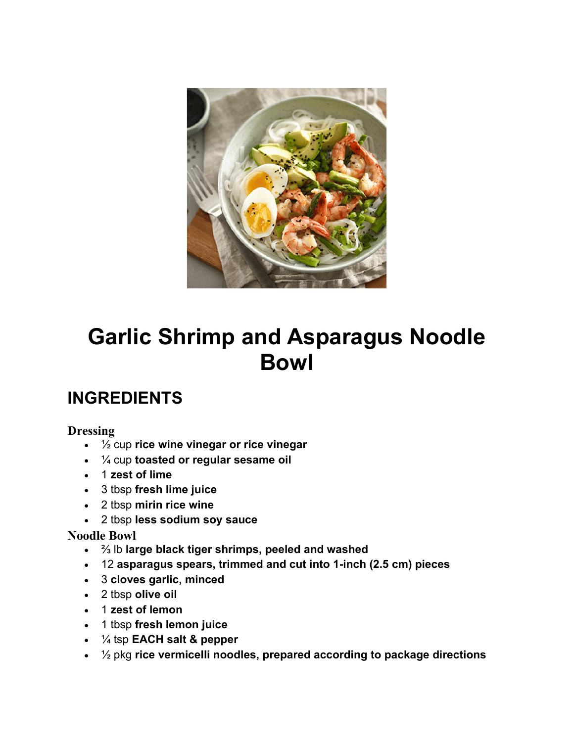

# **Garlic Shrimp and Asparagus Noodle Bowl**

### **INGREDIENTS**

#### **Dressing**

- ½ cup **rice wine vinegar or rice vinegar**
- ¼ cup **toasted or regular sesame oil**
- 1 **zest of lime**
- 3 tbsp **fresh lime juice**
- 2 tbsp **mirin rice wine**
- 2 tbsp **less sodium soy sauce**

#### **Noodle Bowl**

- ⅔ lb **large black tiger shrimps, peeled and washed**
- 12 **asparagus spears, trimmed and cut into 1-inch (2.5 cm) pieces**
- 3 **cloves garlic, minced**
- 2 tbsp **olive oil**
- 1 **zest of lemon**
- 1 tbsp **fresh lemon juice**
- ¼ tsp **EACH salt & pepper**
- ½ pkg **rice vermicelli noodles, prepared according to package directions**